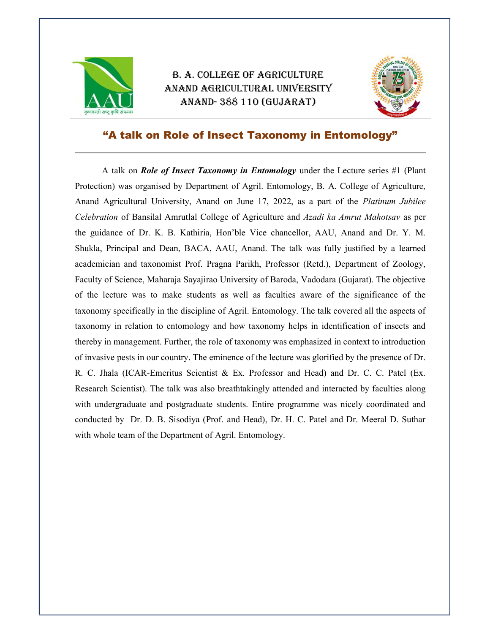

## B. A. COLLEGE OF AGRICULTURE ANAND AGRICULTURAL UNIVERSITY ANAND- 388 110 (GUJARAT)



## "A talk on Role of Insect Taxonomy in Entomology"

A talk on **Role of Insect Taxonomy in Entomology** under the Lecture series #1 (Plant Protection) was organised by Department of Agril. Entomology, B. A. College of Agriculture, Anand Agricultural University, Anand on June 17, 2022, as a part of the *Platinum Jubilee* Celebration of Bansilal Amrutlal College of Agriculture and Azadi ka Amrut Mahotsav as per the guidance of Dr. K. B. Kathiria, Hon'ble Vice chancellor, AAU, Anand and Dr. Y. M. Shukla, Principal and Dean, BACA, AAU, Anand. The talk was fully justified by a learned academician and taxonomist Prof. Pragna Parikh, Professor (Retd.), Department of Zoology, Faculty of Science, Maharaja Sayajirao University of Baroda, Vadodara (Gujarat). The objective of the lecture was to make students as well as faculties aware of the significance of the taxonomy specifically in the discipline of Agril. Entomology. The talk covered all the aspects of taxonomy in relation to entomology and how taxonomy helps in identification of insects and thereby in management. Further, the role of taxonomy was emphasized in context to introduction of invasive pests in our country. The eminence of the lecture was glorified by the presence of Dr. R. C. Jhala (ICAR-Emeritus Scientist & Ex. Professor and Head) and Dr. C. C. Patel (Ex. Research Scientist). The talk was also breathtakingly attended and interacted by faculties along with undergraduate and postgraduate students. Entire programme was nicely coordinated and conducted by Dr. D. B. Sisodiya (Prof. and Head), Dr. H. C. Patel and Dr. Meeral D. Suthar with whole team of the Department of Agril. Entomology.